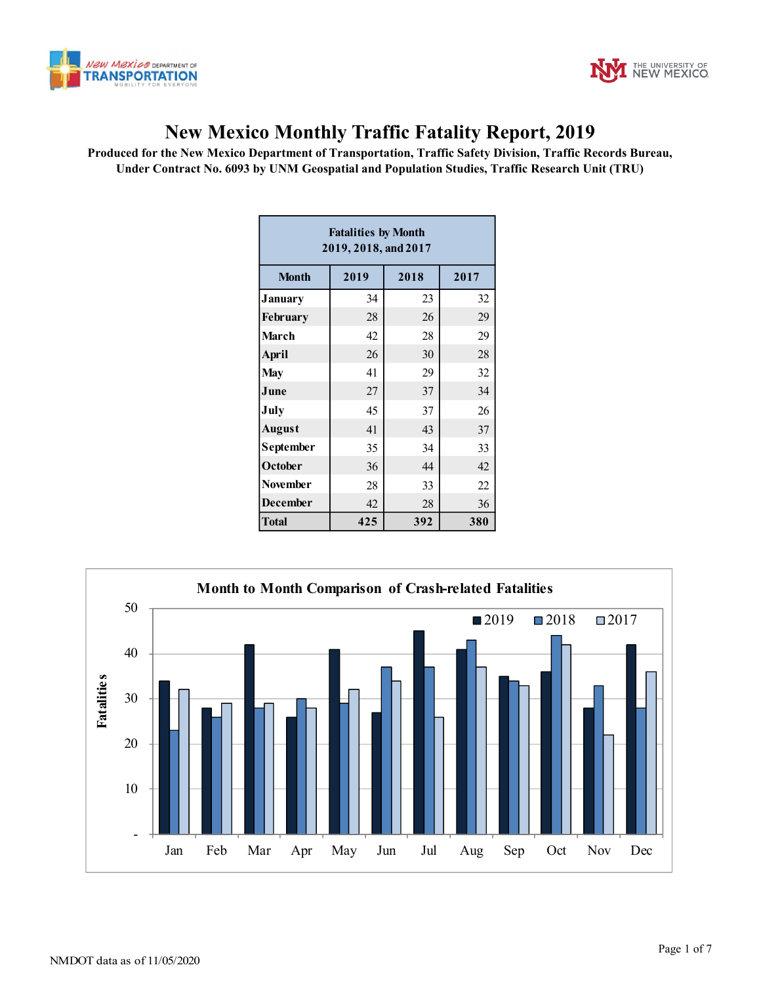



## **New Mexico Monthly Traffic Fatality Report, 2019**

**Produced for the New Mexico Department of Transportation, Traffic Safety Division, Traffic Records Bureau, Under Contract No. 6093 by UNM Geospatial and Population Studies, Traffic Research Unit (TRU)**

| <b>Fatalities by Month</b><br>2019, 2018, and 2017 |      |      |      |  |  |  |  |  |  |
|----------------------------------------------------|------|------|------|--|--|--|--|--|--|
| <b>Month</b>                                       | 2019 | 2018 | 2017 |  |  |  |  |  |  |
| January                                            | 34   | 23   | 32   |  |  |  |  |  |  |
| February                                           | 28   | 26   | 29   |  |  |  |  |  |  |
| March                                              | 42   | 28   | 29   |  |  |  |  |  |  |
| April                                              | 26   | 30   | 28   |  |  |  |  |  |  |
| <b>May</b>                                         | 41   | 29   | 32   |  |  |  |  |  |  |
| June                                               | 27   | 37   | 34   |  |  |  |  |  |  |
| July                                               | 45   | 37   | 26   |  |  |  |  |  |  |
| <b>August</b>                                      | 41   | 43   | 37   |  |  |  |  |  |  |
| September                                          | 35   | 34   | 33   |  |  |  |  |  |  |
| October                                            | 36   | 44   | 42   |  |  |  |  |  |  |
| <b>November</b>                                    | 28   | 33   | 22   |  |  |  |  |  |  |
| <b>December</b>                                    | 42   | 28   | 36   |  |  |  |  |  |  |
| <b>Total</b>                                       | 425  | 392  | 380  |  |  |  |  |  |  |

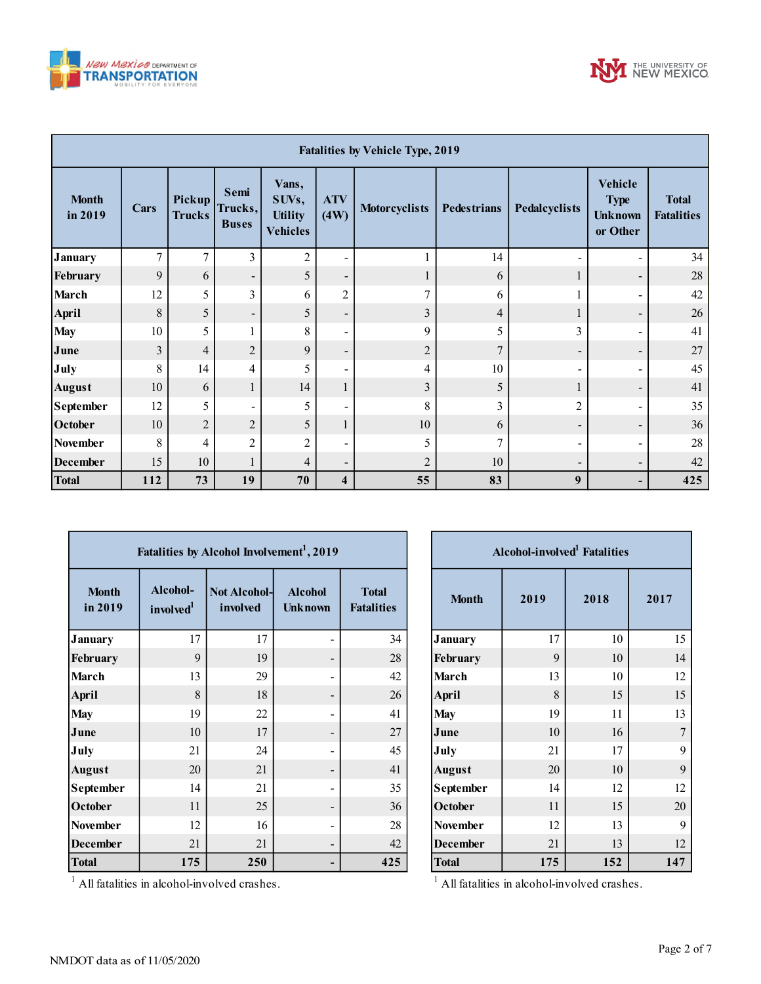



| <b>Fatalities by Vehicle Type, 2019</b> |      |                         |                                 |                                                     |                          |                      |                    |                          |                                                      |                                   |
|-----------------------------------------|------|-------------------------|---------------------------------|-----------------------------------------------------|--------------------------|----------------------|--------------------|--------------------------|------------------------------------------------------|-----------------------------------|
| <b>Month</b><br>in 2019                 | Cars | Pickup<br><b>Trucks</b> | Semi<br>Trucks,<br><b>Buses</b> | Vans,<br>SUVs,<br><b>Utility</b><br><b>Vehicles</b> | <b>ATV</b><br>(4W)       | <b>Motorcyclists</b> | <b>Pedestrians</b> | Pedalcyclists            | Vehicle<br><b>Type</b><br><b>Unknown</b><br>or Other | <b>Total</b><br><b>Fatalities</b> |
| <b>January</b>                          | 7    | $\overline{7}$          | 3                               | $\overline{2}$                                      | ۰                        |                      | 14                 |                          |                                                      | 34                                |
| February                                | 9    | 6                       | -                               | 5                                                   | $\overline{\phantom{a}}$ |                      | 6                  |                          | $\qquad \qquad$                                      | 28                                |
| <b>March</b>                            | 12   | 5                       | 3                               | 6                                                   | $\overline{c}$           | $\mathcal{I}$        | 6                  |                          |                                                      | 42                                |
| April                                   | 8    | 5                       | $\qquad \qquad \blacksquare$    | 5                                                   | $\overline{\phantom{a}}$ | 3                    | 4                  | $\mathbf{I}$             |                                                      | 26                                |
| <b>May</b>                              | 10   | 5                       |                                 | 8                                                   | $\overline{\phantom{0}}$ | 9                    | 5                  | 3                        |                                                      | 41                                |
| June                                    | 3    | $\overline{4}$          | $\overline{2}$                  | 9                                                   | $\overline{\phantom{a}}$ | $\overline{2}$       | 7                  | $\overline{\phantom{a}}$ | $\qquad \qquad \blacksquare$                         | 27                                |
| July                                    | 8    | 14                      | 4                               | 5                                                   | ۰                        | 4                    | 10                 |                          |                                                      | 45                                |
| <b>August</b>                           | 10   | 6                       | 1                               | 14                                                  | 1                        | 3                    | 5                  | 1                        | $\qquad \qquad$                                      | 41                                |
| <b>September</b>                        | 12   | 5                       | -                               | 5                                                   | ۰                        | 8                    | 3                  | $\overline{c}$           |                                                      | 35                                |
| October                                 | 10   | $\overline{c}$          | $\overline{c}$                  | 5                                                   | $\mathbf{1}$             | 10                   | 6                  | $\overline{\phantom{0}}$ | $\overline{\phantom{0}}$                             | 36                                |
| <b>November</b>                         | 8    | 4                       | $\overline{c}$                  | $\overline{2}$                                      | ۰                        | 5                    |                    |                          |                                                      | 28                                |
| <b>December</b>                         | 15   | 10                      |                                 | 4                                                   | $\overline{\phantom{a}}$ | $\overline{2}$       | 10                 | $\qquad \qquad$          | $\overline{\phantom{a}}$                             | 42                                |
| <b>Total</b>                            | 112  | 73                      | 19                              | 70                                                  | 4                        | 55                   | 83                 | 9                        | -                                                    | 425                               |

I

| Fatalities by Alcohol Involvement <sup>1</sup> , 2019 |                                   |                                 |                                  |                                   |  |  |  |  |  |
|-------------------------------------------------------|-----------------------------------|---------------------------------|----------------------------------|-----------------------------------|--|--|--|--|--|
| <b>Month</b><br>in 2019                               | Alcohol-<br>involved <sup>1</sup> | <b>Not Alcohol-</b><br>involved | <b>Alcohol</b><br><b>Unknown</b> | <b>Total</b><br><b>Fatalities</b> |  |  |  |  |  |
| <b>January</b>                                        | 17                                | 17                              |                                  | 34                                |  |  |  |  |  |
| February                                              | 9                                 | 19                              |                                  | 28                                |  |  |  |  |  |
| March                                                 | 13                                | 29                              |                                  | 42                                |  |  |  |  |  |
| <b>April</b>                                          | 8                                 | 18                              |                                  | 26                                |  |  |  |  |  |
| <b>May</b>                                            | 19                                | 22                              |                                  | 41                                |  |  |  |  |  |
| June                                                  | 10                                | 17                              |                                  | 27                                |  |  |  |  |  |
| July                                                  | 21                                | 24                              |                                  | 45                                |  |  |  |  |  |
| <b>August</b>                                         | 20                                | 21                              |                                  | 41                                |  |  |  |  |  |
| September                                             | 14                                | 21                              |                                  | 35                                |  |  |  |  |  |
| October                                               | 11                                | 25                              |                                  | 36                                |  |  |  |  |  |
| <b>November</b>                                       | 12                                | 16                              |                                  | 28                                |  |  |  |  |  |
| <b>December</b>                                       | 21                                | 21                              |                                  | 42                                |  |  |  |  |  |
| <b>Total</b>                                          | 175                               | 250                             |                                  | 425                               |  |  |  |  |  |

| Alcohol-involved <sup>1</sup> Fatalities |      |      |                  |  |  |  |  |  |  |
|------------------------------------------|------|------|------------------|--|--|--|--|--|--|
| <b>Month</b>                             | 2019 | 2018 | 2017             |  |  |  |  |  |  |
| January                                  | 17   | 10   | 15               |  |  |  |  |  |  |
| February                                 | 9    | 10   | 14               |  |  |  |  |  |  |
| March                                    | 13   | 10   | 12               |  |  |  |  |  |  |
| <b>April</b>                             | 8    | 15   | 15               |  |  |  |  |  |  |
| <b>May</b>                               | 19   | 11   | 13               |  |  |  |  |  |  |
| June                                     | 10   | 16   | $\boldsymbol{7}$ |  |  |  |  |  |  |
| July                                     | 21   | 17   | 9                |  |  |  |  |  |  |
| <b>August</b>                            | 20   | 10   | 9                |  |  |  |  |  |  |
| September                                | 14   | 12   | 12               |  |  |  |  |  |  |
| October                                  | 11   | 15   | 20               |  |  |  |  |  |  |
| <b>November</b>                          | 12   | 13   | 9                |  |  |  |  |  |  |
| <b>December</b>                          | 21   | 13   | 12               |  |  |  |  |  |  |
| <b>Total</b>                             | 175  | 152  | 147              |  |  |  |  |  |  |

 $<sup>1</sup>$  All fatalities in alcohol-involved crashes.</sup>

All fatalities in alcohol-involved crashes.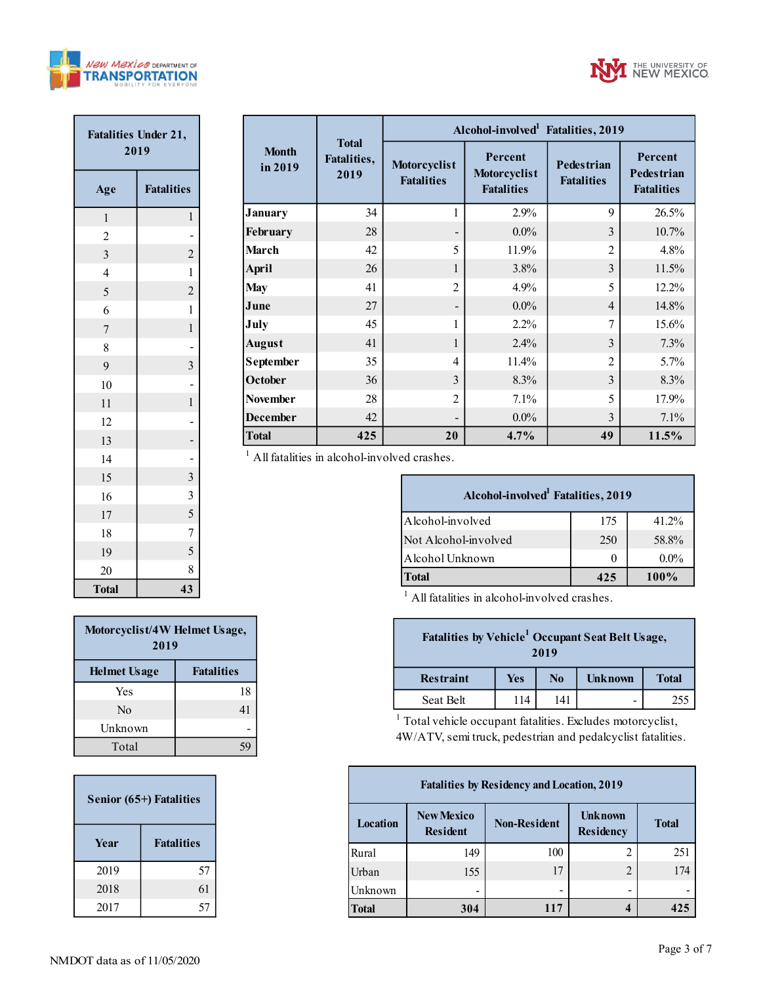



| <b>Fatalities Under 21,</b><br>2019 |                                            |  |  |  |  |  |  |
|-------------------------------------|--------------------------------------------|--|--|--|--|--|--|
| <b>Fatalities</b><br>Age            |                                            |  |  |  |  |  |  |
| $\mathbf{1}$                        | 1                                          |  |  |  |  |  |  |
| $\overline{c}$                      |                                            |  |  |  |  |  |  |
| $\overline{\mathbf{3}}$             | $\overline{c}$                             |  |  |  |  |  |  |
| $\overline{4}$                      | $\mathbf{1}$                               |  |  |  |  |  |  |
| 5                                   | $\overline{c}$                             |  |  |  |  |  |  |
| 6                                   | $\mathbf{1}$                               |  |  |  |  |  |  |
| $\overline{7}$                      | $\mathbf 1$                                |  |  |  |  |  |  |
| 8                                   |                                            |  |  |  |  |  |  |
| 9                                   | $\overline{3}$                             |  |  |  |  |  |  |
| 10                                  |                                            |  |  |  |  |  |  |
| 11                                  | $\mathbf{1}$                               |  |  |  |  |  |  |
| 12                                  |                                            |  |  |  |  |  |  |
| 13                                  | -                                          |  |  |  |  |  |  |
| 14                                  |                                            |  |  |  |  |  |  |
| 15                                  | $\overline{\mathbf{3}}$                    |  |  |  |  |  |  |
| 16                                  | $\begin{array}{c} 3 \\ 5 \\ 7 \end{array}$ |  |  |  |  |  |  |
| 17                                  |                                            |  |  |  |  |  |  |
| 18                                  |                                            |  |  |  |  |  |  |
| 19                                  | $\overline{\mathbf{5}}$                    |  |  |  |  |  |  |
| 20                                  | 8                                          |  |  |  |  |  |  |
| <b>Total</b>                        | 43                                         |  |  |  |  |  |  |

|                         |                                     | Alcohol-involved <sup>1</sup> Fatalities, 2019 |                                              |                                        |                                                   |  |  |  |
|-------------------------|-------------------------------------|------------------------------------------------|----------------------------------------------|----------------------------------------|---------------------------------------------------|--|--|--|
| <b>Month</b><br>in 2019 | <b>Total</b><br>Fatalities,<br>2019 | Motorcyclist<br><b>Fatalities</b>              | Percent<br>Motorcyclist<br><b>Fatalities</b> | <b>Pedestrian</b><br><b>Fatalities</b> | Percent<br><b>Pedestrian</b><br><b>Fatalities</b> |  |  |  |
| January                 | 34                                  |                                                | 2.9%                                         | 9                                      | 26.5%                                             |  |  |  |
| February                | 28                                  |                                                | $0.0\%$                                      | 3                                      | 10.7%                                             |  |  |  |
| March                   | 42                                  | 5                                              | 11.9%                                        | $\overline{2}$                         | 4.8%                                              |  |  |  |
| April                   | 26                                  | 1                                              | 3.8%                                         | 3                                      | 11.5%                                             |  |  |  |
| <b>May</b>              | 41                                  | $\overline{2}$                                 | 4.9%                                         | 5                                      | 12.2%                                             |  |  |  |
| June                    | 27                                  |                                                | $0.0\%$                                      | $\overline{4}$                         | 14.8%                                             |  |  |  |
| July                    | 45                                  | 1                                              | $2.2\%$                                      | 7                                      | 15.6%                                             |  |  |  |
| <b>August</b>           | 41                                  | 1                                              | 2.4%                                         | 3                                      | 7.3%                                              |  |  |  |
| September               | 35                                  | 4                                              | 11.4%                                        | $\overline{2}$                         | $5.7\%$                                           |  |  |  |
| October                 | 36                                  | 3                                              | 8.3%                                         | 3                                      | 8.3%                                              |  |  |  |
| <b>November</b>         | 28                                  | $\mathfrak{D}$                                 | 7.1%                                         | 5                                      | 17.9%                                             |  |  |  |
| <b>December</b>         | 42                                  |                                                | $0.0\%$                                      | 3                                      | 7.1%                                              |  |  |  |
| <b>Total</b>            | 425                                 | 20                                             | 4.7%                                         | 49                                     | 11.5%                                             |  |  |  |

 $<sup>1</sup>$  All fatalities in alcohol-involved crashes.</sup>

| Alcohol-involved <sup>1</sup> Fatalities, 2019 |              |         |  |  |  |  |  |  |
|------------------------------------------------|--------------|---------|--|--|--|--|--|--|
| Alcohol-involved                               | 175          | 41.2%   |  |  |  |  |  |  |
| Not Alcohol-involved                           | 250          | 58.8%   |  |  |  |  |  |  |
| Alcohol Unknown                                | $\mathbf{0}$ | $0.0\%$ |  |  |  |  |  |  |
| <b>Total</b>                                   | 425          | $100\%$ |  |  |  |  |  |  |

 $<sup>1</sup>$  All fatalities in alcohol-involved crashes.</sup>

| Fatalities by Vehicle <sup>1</sup> Occupant Seat Belt Usage,<br>2019 |     |          |                |              |  |  |  |
|----------------------------------------------------------------------|-----|----------|----------------|--------------|--|--|--|
| <b>Restraint</b>                                                     | Yes | $\bf No$ | <b>Unknown</b> | <b>Total</b> |  |  |  |
| Seat Belt                                                            | 114 | 141      |                | 255          |  |  |  |

<sup>1</sup> Total vehicle occupant fatalities. Excludes motorcyclist, 4W/ATV, semi truck, pedestrian and pedalcyclist fatalities.

| <b>Fatalities by Residency and Location, 2019</b> |                                      |                     |                             |              |  |  |  |  |
|---------------------------------------------------|--------------------------------------|---------------------|-----------------------------|--------------|--|--|--|--|
| Location                                          | <b>New Mexico</b><br><b>Resident</b> | <b>Non-Resident</b> | <b>Unknown</b><br>Residency | <b>Total</b> |  |  |  |  |
| Rural                                             | 149                                  | 100                 | 2                           | 251          |  |  |  |  |
| Urban                                             | 155                                  | 17                  | $\overline{2}$              | 174          |  |  |  |  |
| Unknown                                           |                                      |                     | -                           |              |  |  |  |  |
| <b>Total</b>                                      | 304                                  | 117                 |                             | 425          |  |  |  |  |

| Motorcyclist/4W Helmet Usage,<br>2019    |    |  |  |  |  |  |
|------------------------------------------|----|--|--|--|--|--|
| <b>Fatalities</b><br><b>Helmet Usage</b> |    |  |  |  |  |  |
| Yes                                      | 18 |  |  |  |  |  |
| Nο                                       | 41 |  |  |  |  |  |
| Unknown                                  |    |  |  |  |  |  |
| Total                                    |    |  |  |  |  |  |

| Senior (65+) Fatalities   |    |  |  |  |  |  |
|---------------------------|----|--|--|--|--|--|
| <b>Fatalities</b><br>Year |    |  |  |  |  |  |
| 2019                      | 57 |  |  |  |  |  |
| 2018                      | 61 |  |  |  |  |  |
| 2017                      | 57 |  |  |  |  |  |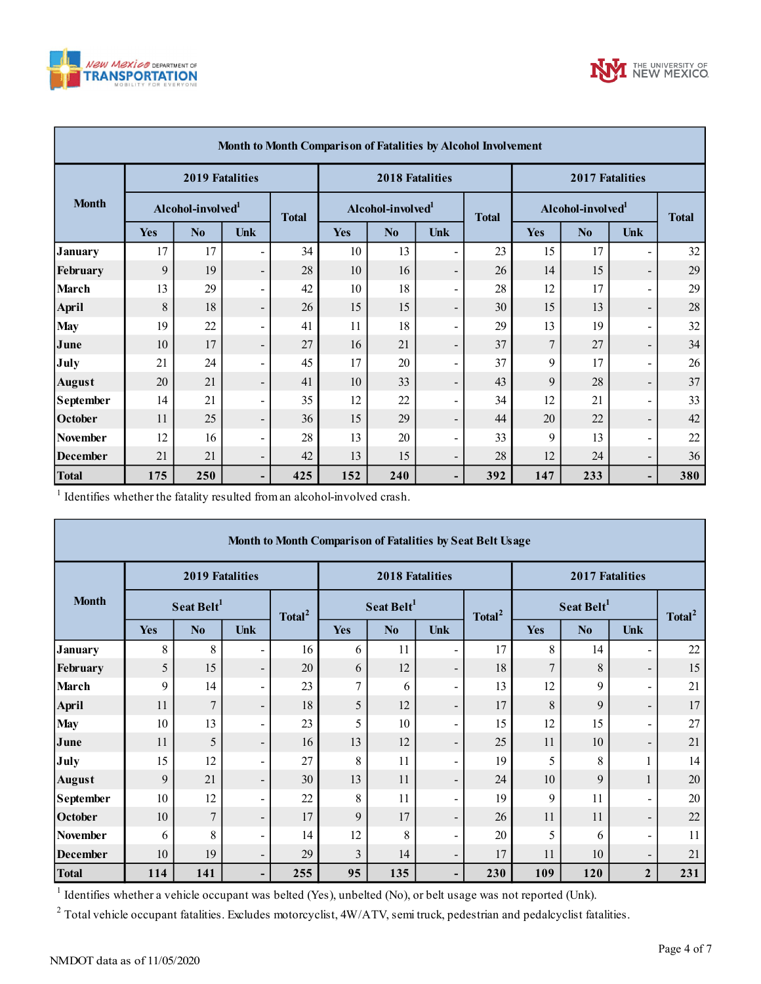



| Month to Month Comparison of Fatalities by Alcohol Involvement |                               |                        |                          |     |                               |     |                          |                               |            |              |                          |     |
|----------------------------------------------------------------|-------------------------------|------------------------|--------------------------|-----|-------------------------------|-----|--------------------------|-------------------------------|------------|--------------|--------------------------|-----|
|                                                                |                               | <b>2019 Fatalities</b> |                          |     | <b>2018 Fatalities</b>        |     |                          | 2017 Fatalities               |            |              |                          |     |
| <b>Month</b>                                                   | Alcohol-involved <sup>1</sup> |                        | <b>Total</b>             |     | Alcohol-involved <sup>1</sup> |     | <b>Total</b>             | Alcohol-involved <sup>1</sup> |            | <b>Total</b> |                          |     |
|                                                                | <b>Yes</b>                    | No                     | <b>Unk</b>               |     | <b>Yes</b>                    | No  | <b>Unk</b>               |                               | <b>Yes</b> | No           | Unk                      |     |
| <b>January</b>                                                 | 17                            | 17                     | Ξ.                       | 34  | 10                            | 13  | $\blacksquare$           | 23                            | 15         | 17           | $\blacksquare$           | 32  |
| February                                                       | 9                             | 19                     | -                        | 28  | 10                            | 16  | $\overline{\phantom{a}}$ | 26                            | 14         | 15           | $\blacksquare$           | 29  |
| <b>March</b>                                                   | 13                            | 29                     | ۰.                       | 42  | 10                            | 18  | $\overline{\phantom{a}}$ | 28                            | 12         | 17           | $\blacksquare$           | 29  |
| April                                                          | 8                             | 18                     | $\overline{\phantom{a}}$ | 26  | 15                            | 15  | $\overline{\phantom{a}}$ | 30                            | 15         | 13           | $\overline{\phantom{a}}$ | 28  |
| <b>May</b>                                                     | 19                            | 22                     | Ξ.                       | 41  | 11                            | 18  | $\overline{\phantom{a}}$ | 29                            | 13         | 19           | $\sim$                   | 32  |
| June                                                           | 10                            | 17                     | $\blacksquare$           | 27  | 16                            | 21  | $\overline{\phantom{a}}$ | 37                            | $\tau$     | 27           | $\overline{\phantom{a}}$ | 34  |
| July                                                           | 21                            | 24                     | ۰.                       | 45  | 17                            | 20  | $\overline{\phantom{a}}$ | 37                            | 9          | 17           | $\blacksquare$           | 26  |
| <b>August</b>                                                  | 20                            | 21                     | $\blacksquare$           | 41  | 10                            | 33  | $\overline{\phantom{a}}$ | 43                            | 9          | 28           | $\overline{\phantom{a}}$ | 37  |
| <b>September</b>                                               | 14                            | 21                     | Ξ.                       | 35  | 12                            | 22  | $\overline{\phantom{a}}$ | 34                            | 12         | 21           | $\blacksquare$           | 33  |
| October                                                        | 11                            | 25                     | $\overline{\phantom{a}}$ | 36  | 15                            | 29  | $\overline{\phantom{a}}$ | 44                            | 20         | 22           | $\overline{\phantom{a}}$ | 42  |
| <b>November</b>                                                | 12                            | 16                     | Ξ.                       | 28  | 13                            | 20  | $\overline{\phantom{a}}$ | 33                            | 9          | 13           | $\sim$                   | 22  |
| <b>December</b>                                                | 21                            | 21                     | $\overline{\phantom{0}}$ | 42  | 13                            | 15  | $\overline{\phantom{a}}$ | 28                            | 12         | 24           | $\overline{\phantom{a}}$ | 36  |
| <b>Total</b>                                                   | 175                           | 250                    | -                        | 425 | 152                           | 240 | -                        | 392                           | 147        | 233          | ٠                        | 380 |

|                                                                                                                                              | Yes                    | N <sub>0</sub>         | <b>Unk</b>                   |                    | Yes                                                        | N <sub>0</sub>         | Unk                      |                    | Yes              | N <sub>0</sub>         | Unk                          |                    |
|----------------------------------------------------------------------------------------------------------------------------------------------|------------------------|------------------------|------------------------------|--------------------|------------------------------------------------------------|------------------------|--------------------------|--------------------|------------------|------------------------|------------------------------|--------------------|
| <b>January</b>                                                                                                                               | 17                     | 17                     |                              | 34                 | 10                                                         | 13                     | Ξ.                       | 23                 | 15               | 17                     | $\overline{\phantom{a}}$     | 32                 |
| February                                                                                                                                     | 9                      | 19                     | $\qquad \qquad \blacksquare$ | 28                 | $10\,$                                                     | 16                     | $\overline{\phantom{a}}$ | 26                 | 14               | 15                     | $\overline{\phantom{a}}$     | 29                 |
| March                                                                                                                                        | 13                     | 29                     | $\blacksquare$               | 42                 | 10                                                         | 18                     | $\blacksquare$           | 28                 | 12               | 17                     | $\blacksquare$               | 29                 |
| April                                                                                                                                        | $\,$ 8 $\,$            | 18                     | $\overline{\phantom{m}}$     | 26                 | 15                                                         | 15                     | $\overline{\phantom{a}}$ | 30                 | 15               | 13                     | $\overline{\phantom{a}}$     | 28                 |
| <b>May</b>                                                                                                                                   | 19                     | 22                     | $\blacksquare$               | 41                 | 11                                                         | 18                     | $\blacksquare$           | 29                 | 13               | 19                     | $\blacksquare$               | 32                 |
| June                                                                                                                                         | 10                     | 17                     | $\qquad \qquad \blacksquare$ | 27                 | 16                                                         | 21                     | $\overline{\phantom{a}}$ | 37                 | $\boldsymbol{7}$ | 27                     | $\overline{\phantom{a}}$     | 34                 |
| July                                                                                                                                         | 21                     | 24                     | $\blacksquare$               | 45                 | 17                                                         | 20                     | $\blacksquare$           | 37                 | 9                | 17                     | $\frac{1}{2}$                | 26                 |
| <b>August</b>                                                                                                                                | 20                     | 21                     | $\overline{\phantom{0}}$     | 41                 | $10\,$                                                     | 33                     | $\overline{\phantom{a}}$ | 43                 | 9                | 28                     | $\blacksquare$               | 37                 |
| September                                                                                                                                    | 14                     | 21                     | $\blacksquare$               | 35                 | 12                                                         | 22                     | $\blacksquare$           | 34                 | 12               | 21                     | $\blacksquare$               | 33                 |
| October                                                                                                                                      | 11                     | 25                     | $\qquad \qquad \blacksquare$ | 36                 | 15                                                         | 29                     | $\overline{\phantom{a}}$ | 44                 | 20               | 22                     | ۰,                           | 42                 |
| <b>November</b>                                                                                                                              | 12                     | 16                     | $\qquad \qquad \blacksquare$ | 28                 | 13                                                         | 20                     | $\blacksquare$           | 33                 | 9                | 13                     | $\qquad \qquad \blacksquare$ | 22                 |
| <b>December</b>                                                                                                                              | 21                     | 21                     | $\blacksquare$               | 42                 | 13                                                         | 15                     | $\overline{\phantom{a}}$ | 28                 | 12               | 24                     | $\overline{\phantom{a}}$     | 36                 |
| <b>Total</b>                                                                                                                                 | 175                    | 250                    |                              | 425                | 152                                                        | 240                    | $\blacksquare$           | 392                | 147              | 233                    | $\overline{\phantom{a}}$     | 380                |
|                                                                                                                                              |                        |                        |                              |                    | Month to Month Comparison of Fatalities by Seat Belt Usage |                        |                          |                    |                  |                        |                              |                    |
|                                                                                                                                              |                        | <b>2019 Fatalities</b> |                              |                    |                                                            | 2018 Fatalities        |                          |                    |                  | 2017 Fatalities        |                              |                    |
| <b>Month</b>                                                                                                                                 | Seat Belt <sup>1</sup> |                        |                              |                    |                                                            |                        |                          |                    |                  |                        |                              |                    |
|                                                                                                                                              |                        |                        |                              |                    |                                                            | Seat Belt <sup>1</sup> |                          |                    |                  | Seat Belt <sup>1</sup> |                              |                    |
|                                                                                                                                              | Yes                    | N <sub>o</sub>         | Unk                          | Total <sup>2</sup> | Yes                                                        | No                     | Unk                      | Total <sup>2</sup> | Yes              | N <sub>o</sub>         | Unk                          | Total <sup>2</sup> |
| <b>January</b>                                                                                                                               | 8                      | 8                      |                              | 16                 | 6                                                          | 11                     | $\overline{\phantom{a}}$ | 17                 | 8                | 14                     | $\qquad \qquad \blacksquare$ | 22                 |
| February                                                                                                                                     | 5                      | 15                     | $\overline{\phantom{a}}$     | 20                 | 6                                                          | 12                     | $\overline{\phantom{a}}$ | 18                 | $\overline{7}$   | 8                      | $\overline{\phantom{a}}$     | 15                 |
| <b>March</b>                                                                                                                                 | 9                      | 14                     | $\blacksquare$               | 23                 | $\tau$                                                     | 6                      | $\blacksquare$           | 13                 | 12               | 9                      | $\blacksquare$               | 21                 |
| <b>April</b>                                                                                                                                 | 11                     | $\overline{7}$         | $\overline{\phantom{a}}$     | 18                 | 5                                                          | 12                     | $\overline{\phantom{a}}$ | 17                 | 8                | 9                      | $\equiv$                     | 17                 |
| <b>May</b>                                                                                                                                   | 10                     | 13                     | $\overline{a}$               | 23                 | 5                                                          | 10                     | $\blacksquare$           | 15                 | 12               | 15                     | $\overline{\phantom{a}}$     | 27                 |
| June                                                                                                                                         | 11                     | 5                      | $\overline{\phantom{a}}$     | 16                 | 13                                                         | 12                     | $\overline{\phantom{a}}$ | 25                 | 11               | 10                     | $\overline{\phantom{a}}$     | 21                 |
| July                                                                                                                                         | 15                     | 12                     | ÷                            | 27                 | 8                                                          | 11                     | $\blacksquare$           | 19                 | 5                | 8                      | $\mathbf{1}$                 | 14                 |
| <b>August</b>                                                                                                                                | 9                      | 21                     | $\overline{\phantom{a}}$     | 30                 | 13                                                         | 11                     | $\overline{\phantom{a}}$ | 24                 | 10               | 9                      | $\mathbf{1}$                 | 20                 |
| September                                                                                                                                    | 10                     | 12                     |                              | 22                 | $\,$ 8 $\,$                                                | 11                     | $\overline{a}$           | 19                 | 9                | 11                     | $\blacksquare$               | 20                 |
| October                                                                                                                                      | 10                     | $\boldsymbol{7}$       |                              | 17                 | 9                                                          | 17                     |                          | $26\,$             | 11               | 11                     | $\qquad \qquad -$            | $22\,$             |
| <b>November</b>                                                                                                                              | 6                      | 8                      |                              | 14                 | 12                                                         | 8                      | $\overline{\phantom{0}}$ | 20                 | 5                | 6                      | $\blacksquare$               | 11                 |
| <b>December</b>                                                                                                                              | 10                     | 19                     | $\overline{\phantom{0}}$     | 29                 | $\overline{\mathbf{3}}$                                    | 14                     |                          | 17                 | 11               | 10                     | $\overline{\phantom{0}}$     | 21                 |
| <b>Total</b><br>$\mathbf{1}$<br>Identifies whether a vehicle occupant was belted (Yes), unbelted (No), or belt usage was not reported (Unk). | 114                    | 141                    |                              | 255                | 95                                                         | 135                    |                          | 230                | 109              | 120                    | $\overline{2}$               | 231                |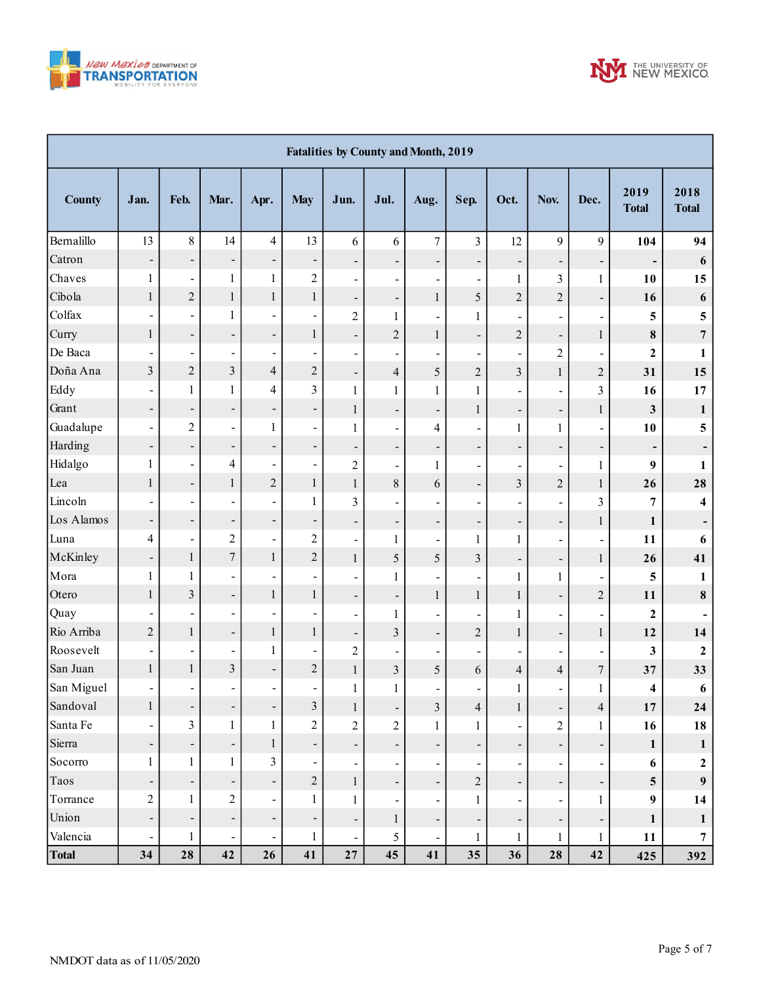



|               | <b>Fatalities by County and Month, 2019</b> |                              |                              |                          |                              |                              |                              |                              |                              |                              |                          |                              |                              |                         |
|---------------|---------------------------------------------|------------------------------|------------------------------|--------------------------|------------------------------|------------------------------|------------------------------|------------------------------|------------------------------|------------------------------|--------------------------|------------------------------|------------------------------|-------------------------|
| <b>County</b> | Jan.                                        | Feb.                         | Mar.                         | Apr.                     | <b>May</b>                   | Jun.                         | Jul.                         | Aug.                         | Sep.                         | Oct.                         | Nov.                     | Dec.                         | 2019<br><b>Total</b>         | 2018<br><b>Total</b>    |
| Bernalillo    | 13                                          | $\,8\,$                      | 14                           | $\overline{4}$           | 13                           | 6                            | 6                            | $\boldsymbol{7}$             | $\overline{\mathbf{3}}$      | 12                           | 9                        | 9                            | 104                          | 94                      |
| Catron        | $\qquad \qquad \blacksquare$                | ÷,                           | -                            | ÷,                       | $\overline{\phantom{a}}$     | $\qquad \qquad \blacksquare$ | $\overline{\phantom{0}}$     | $\overline{\phantom{0}}$     | $\overline{\phantom{a}}$     | $\overline{\phantom{0}}$     | $\overline{\phantom{0}}$ | $\overline{\phantom{a}}$     | $\qquad \qquad \blacksquare$ | $\boldsymbol{6}$        |
| Chaves        | $\mathbf{1}$                                | $\blacksquare$               | $\mathbf{1}$                 | $\mathbf{1}$             | $\overline{c}$               | $\blacksquare$               | $\blacksquare$               | $\qquad \qquad \blacksquare$ | $\blacksquare$               | $\mathbf{1}$                 | 3                        | $\mathbf{1}$                 | 10                           | 15                      |
| Cibola        | $\mathbf{1}$                                | $\sqrt{2}$                   | $\mathbf{1}$                 | $\,1$                    | $\mathbf{1}$                 | $\qquad \qquad \blacksquare$ | $\overline{\phantom{0}}$     | $\mathbf{1}$                 | 5                            | $\overline{c}$               | $\overline{2}$           | $\blacksquare$               | 16                           | $\boldsymbol{6}$        |
| Colfax        | $\blacksquare$                              | $\blacksquare$               | 1                            | ä,                       | $\overline{\phantom{a}}$     | $\overline{c}$               | $\mathbf{1}$                 | $\overline{a}$               | $\mathbf{1}$                 | $\overline{\phantom{0}}$     |                          | $\qquad \qquad \blacksquare$ | 5                            | $\overline{\mathbf{5}}$ |
| Curry         | $\mathbf{1}$                                | $\blacksquare$               | $\overline{\phantom{a}}$     | $\overline{\phantom{0}}$ | $\mathbf{1}$                 | $\qquad \qquad \blacksquare$ | $\overline{2}$               | $\mathbf{1}$                 | $\qquad \qquad \blacksquare$ | $\overline{c}$               | $\overline{\phantom{0}}$ | $\mathbf{1}$                 | $\pmb{8}$                    | $\overline{7}$          |
| De Baca       | $\qquad \qquad \blacksquare$                | $\blacksquare$               | $\blacksquare$               | $\overline{\phantom{a}}$ | $\blacksquare$               | $\blacksquare$               | $\overline{a}$               | -                            | $\blacksquare$               | $\overline{\phantom{0}}$     | $\overline{2}$           | $\blacksquare$               | $\mathbf{2}$                 | 1                       |
| Doña Ana      | $\overline{\mathbf{3}}$                     | $\overline{c}$               | $\overline{\mathbf{3}}$      | $\overline{\mathcal{L}}$ | $\overline{c}$               | $\overline{\phantom{a}}$     | $\overline{\mathbf{4}}$      | 5                            | $\overline{c}$               | $\overline{3}$               | $\mathbf{1}$             | $\mathbf{2}$                 | 31                           | 15                      |
| Eddy          | $\qquad \qquad \blacksquare$                | $\mathbf{1}$                 | 1                            | 4                        | $\overline{3}$               | $\mathbf{1}$                 | $\mathbf{1}$                 | $\mathbf{1}$                 | $\mathbf{1}$                 | $\blacksquare$               |                          | $\overline{\mathbf{3}}$      | 16                           | 17                      |
| Grant         | $\overline{\phantom{a}}$                    | ÷,                           | $\overline{\phantom{a}}$     | ÷,                       | $\overline{\phantom{0}}$     | $\mathbf{1}$                 | $\overline{\phantom{0}}$     | $\qquad \qquad \blacksquare$ | $\mathbf{1}$                 | $\overline{\phantom{0}}$     | $\overline{\phantom{a}}$ | $\mathbf{1}$                 | $\mathbf{3}$                 | $\mathbf{1}$            |
| Guadalupe     | $\overline{\phantom{a}}$                    | $\sqrt{2}$                   | $\blacksquare$               | $\mathbf{1}$             | $\blacksquare$               | $\mathbf{1}$                 | $\blacksquare$               | $\overline{\mathbf{4}}$      | $\blacksquare$               | $\mathbf{1}$                 | $\mathbf{1}$             | $\blacksquare$               | 10                           | 5                       |
| Harding       | Ξ.                                          | ÷,                           | $\overline{\phantom{a}}$     | $\overline{\phantom{0}}$ | $\overline{\phantom{0}}$     | $\qquad \qquad \blacksquare$ | $\qquad \qquad \blacksquare$ | $\overline{\phantom{0}}$     | $\overline{\phantom{0}}$     | -                            | $\overline{\phantom{a}}$ | $\overline{\phantom{0}}$     | $\overline{\phantom{0}}$     |                         |
| Hidalgo       | $\mathbf{1}$                                | $\blacksquare$               | 4                            | $\blacksquare$           | $\overline{\phantom{a}}$     | $\overline{c}$               | $\overline{\phantom{0}}$     | 1                            | $\blacksquare$               | $\overline{\phantom{0}}$     |                          | $\mathbf{1}$                 | 9                            | $\mathbf{1}$            |
| Lea           | $\mathbf{1}$                                | $\blacksquare$               | 1                            | $\overline{c}$           | $\,1$                        | $\mathbf{1}$                 | 8                            | 6                            | $\overline{\phantom{a}}$     | $\overline{3}$               | $\overline{2}$           | $\mathbf{1}$                 | 26                           | 28                      |
| Lincoln       | $\overline{\phantom{0}}$                    | $\blacksquare$               | $\blacksquare$               | ä,                       | $\mathbf{1}$                 | 3                            | $\overline{a}$               | -                            | $\qquad \qquad \blacksquare$ | $\overline{\phantom{0}}$     |                          | 3                            | 7                            | $\overline{\mathbf{4}}$ |
| Los Alamos    | $\blacksquare$                              | ÷,                           | $\overline{\phantom{a}}$     | ÷,                       | $\overline{\phantom{0}}$     | $\qquad \qquad \blacksquare$ | $\overline{\phantom{a}}$     | $\overline{\phantom{a}}$     | $\overline{\phantom{0}}$     | -                            | $\overline{\phantom{0}}$ | $\mathbf{1}$                 | $\mathbf{1}$                 |                         |
| Luna          | $\overline{\mathbf{4}}$                     | $\qquad \qquad \blacksquare$ | $\overline{c}$               | ÷,                       | $\overline{c}$               | $\qquad \qquad \blacksquare$ | $\mathbf{1}$                 | -                            | $\mathbf{1}$                 | $\mathbf{1}$                 |                          | $\blacksquare$               | 11                           | 6                       |
| McKinley      | $\overline{\phantom{a}}$                    | $\,1$                        | $\overline{7}$               | $\mathbf{1}$             | $\overline{c}$               | $\mathbf{1}$                 | 5                            | 5                            | $\overline{\mathbf{3}}$      | -                            | $\overline{\phantom{0}}$ | $\mathbf{1}$                 | 26                           | 41                      |
| Mora          | $\mathbf{1}$                                | $\mathbf{1}$                 | $\blacksquare$               | $\overline{\phantom{0}}$ | $\blacksquare$               | $\overline{a}$               | $\mathbf{1}$                 | -                            | $\qquad \qquad \blacksquare$ | $\mathbf{1}$                 | $\mathbf{1}$             | $\blacksquare$               | 5                            | 1                       |
| Otero         | $\mathbf{1}$                                | $\overline{3}$               | $\qquad \qquad \blacksquare$ | $\mathbf{1}$             | $\mathbf{1}$                 | $\qquad \qquad \blacksquare$ | $\overline{\phantom{a}}$     | $\mathbf{1}$                 | $\mathbf{1}$                 | $\mathbf{1}$                 | $\overline{\phantom{0}}$ | $\mathbf{2}$                 | 11                           | $\pmb{8}$               |
| Quay          |                                             | $\blacksquare$               | $\blacksquare$               | $\blacksquare$           | $\overline{\phantom{a}}$     | $\overline{\phantom{a}}$     | $\mathbf{1}$                 | Ξ.                           | $\blacksquare$               | $\mathbf{1}$                 |                          | $\blacksquare$               | $\mathbf{2}$                 |                         |
| Rio Arriba    | $\overline{2}$                              | $\mathbf{1}$                 | $\qquad \qquad \blacksquare$ | $\mathbf{1}$             | $\,1$                        | $\qquad \qquad \blacksquare$ | 3                            | $\overline{\phantom{a}}$     | $\overline{c}$               | $\mathbf{1}$                 | $\overline{\phantom{0}}$ | $\mathbf{1}$                 | 12                           | 14                      |
| Roosevelt     | $\blacksquare$                              | $\blacksquare$               | $\blacksquare$               | $\mathbf{1}$             | $\overline{\phantom{a}}$     | $\overline{2}$               | $\overline{a}$               | -                            | $\qquad \qquad \blacksquare$ | $\overline{\phantom{0}}$     |                          | $\qquad \qquad \blacksquare$ | 3                            | $\boldsymbol{2}$        |
| San Juan      | $\,1$                                       | $\,1$                        | $\overline{\mathbf{3}}$      | $\overline{\phantom{0}}$ | $\overline{c}$               | $\mathbf{1}$                 | $\overline{\mathbf{3}}$      | $\mathfrak s$                | 6                            | $\overline{4}$               | $\overline{4}$           | $\boldsymbol{7}$             | 37                           | 33                      |
| San Miguel    | $\blacksquare$                              | $\blacksquare$               | $\blacksquare$               | $\blacksquare$           | $\blacksquare$               | 1                            | $\mathbf{1}$                 | $\overline{\phantom{a}}$     | $\blacksquare$               | $\mathbf{1}$                 | $\overline{\phantom{a}}$ | $\mathbf{1}$                 | 4                            | 6                       |
| Sandoval      | $\,1$                                       | Ť,                           | ۳                            | ÷,                       | $\mathfrak{Z}$               | $\mathbf{1}$                 | $\qquad \qquad \blacksquare$ | $\mathfrak{Z}$               | $\overline{4}$               | 1                            | $\overline{\phantom{0}}$ | $\overline{\mathcal{L}}$     | 17                           | 24                      |
| Santa Fe      | $\blacksquare$                              | $\mathfrak{Z}$               | $\mathbf{1}$                 | $\mathbf{1}$             | $\sqrt{2}$                   | $\overline{c}$               | $\overline{c}$               | $\mathbf{1}$                 | $\mathbf{1}$                 | $\overline{\phantom{0}}$     | $\overline{c}$           | $\mathbf{1}$                 | 16                           | 18                      |
| Sierra        | $\blacksquare$                              | ÷,                           | $\overline{\phantom{0}}$     | $\,1$                    | $\qquad \qquad \blacksquare$ | $\overline{\phantom{a}}$     | $\blacksquare$               | $\qquad \qquad \blacksquare$ | $\overline{\phantom{a}}$     | $\qquad \qquad \blacksquare$ | $\overline{\phantom{a}}$ | $\overline{\phantom{a}}$     | $\mathbf{1}$                 | $\mathbf{1}$            |
| Socorro       | $\mathbf{1}$                                | $\mathbf{1}$                 | $\mathbf{1}$                 | 3                        | $\blacksquare$               | $\blacksquare$               | $\qquad \qquad \blacksquare$ | $\blacksquare$               | $\blacksquare$               | $\overline{\phantom{0}}$     | $\overline{\phantom{a}}$ | $\blacksquare$               | 6                            | $\boldsymbol{2}$        |
| Taos          | $\overline{\phantom{a}}$                    | ÷,                           | $\overline{\phantom{a}}$     | $\overline{\phantom{0}}$ | $\overline{c}$               | $\mathbf{1}$                 | $\overline{\phantom{0}}$     | $\overline{\phantom{0}}$     | $\boldsymbol{2}$             | -                            | $\overline{\phantom{a}}$ | $\overline{\phantom{a}}$     | $\overline{\mathbf{5}}$      | 9                       |
| Torrance      | $\sqrt{2}$                                  | $\mathbf{1}$                 | $\overline{c}$               | $\blacksquare$           | $\mathbf{1}$                 | $\mathbf{1}$                 | $\blacksquare$               | $\blacksquare$               | $\mathbf{1}$                 | $\overline{\phantom{0}}$     | $\blacksquare$           | $\mathbf{1}$                 | $\boldsymbol{9}$             | 14                      |
| Union         | $\overline{\phantom{a}}$                    | $\blacksquare$               | $\overline{\phantom{a}}$     | $\overline{\phantom{0}}$ | $\qquad \qquad \blacksquare$ | $\overline{\phantom{a}}$     | $\mathbf{1}$                 | $\overline{\phantom{0}}$     | $\overline{\phantom{a}}$     | ÷,                           | $\overline{\phantom{a}}$ | $\overline{\phantom{a}}$     | $\mathbf{1}$                 | $\mathbf{1}$            |
| Valencia      | $\overline{\phantom{a}}$                    | $\mathbf{1}$                 | $\blacksquare$               | $\frac{1}{2}$            | $\mathbf{1}$                 | $\blacksquare$               | 5                            | $\blacksquare$               | $\mathbf{1}$                 | $\mathbf{1}$                 | $\mathbf{1}$             | $\mathbf{1}$                 | 11                           | $\overline{7}$          |
| <b>Total</b>  | 34                                          | 28                           | 42                           | 26                       | 41                           | $\bf 27$                     | 45                           | 41                           | 35                           | 36                           | 28                       | 42                           | 425                          | 392                     |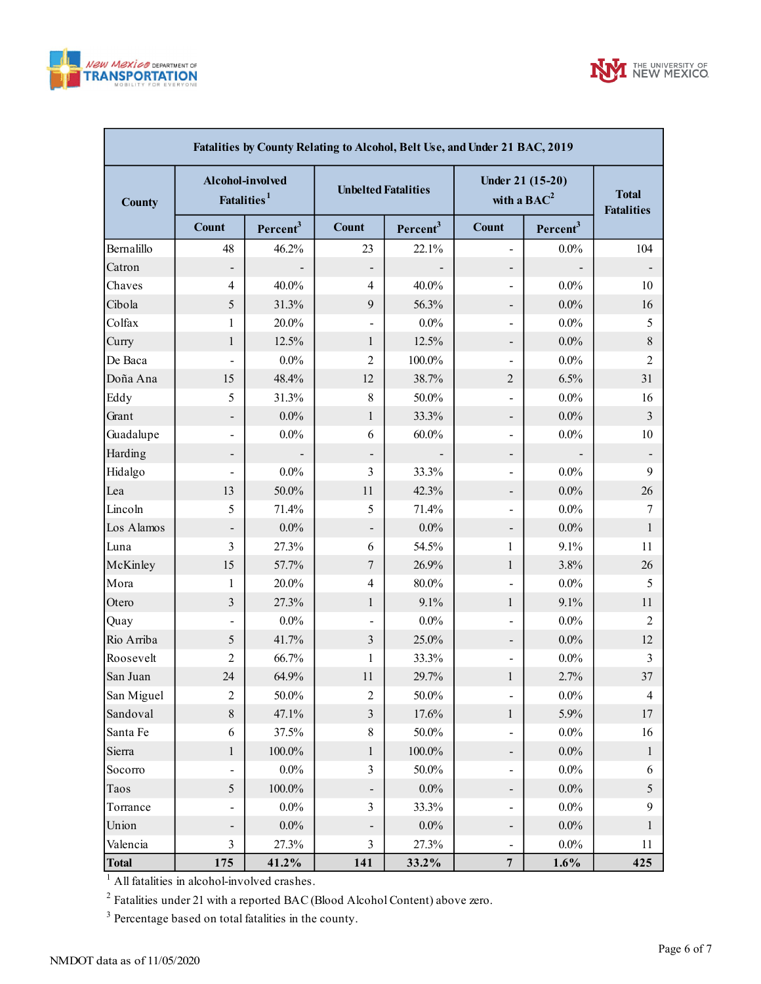



| Fatalities by County Relating to Alcohol, Belt Use, and Under 21 BAC, 2019 |                                             |                      |                            |                      |                                   |                                   |                |  |  |  |  |  |
|----------------------------------------------------------------------------|---------------------------------------------|----------------------|----------------------------|----------------------|-----------------------------------|-----------------------------------|----------------|--|--|--|--|--|
| <b>County</b>                                                              | Alcohol-involved<br>Fatalities <sup>1</sup> |                      | <b>Unbelted Fatalities</b> |                      | Under 21 (15-20)<br>with a $BAC2$ | <b>Total</b><br><b>Fatalities</b> |                |  |  |  |  |  |
|                                                                            | <b>Count</b>                                | Percent <sup>3</sup> | <b>Count</b>               | Percent <sup>3</sup> | <b>Count</b>                      | Percent <sup>3</sup>              |                |  |  |  |  |  |
| Bernalillo                                                                 | 48                                          | 46.2%                | 23                         | 22.1%                | -                                 | $0.0\%$                           | 104            |  |  |  |  |  |
| Catron                                                                     | -                                           |                      |                            |                      | -                                 |                                   |                |  |  |  |  |  |
| Chaves                                                                     | 4                                           | 40.0%                | $\overline{4}$             | 40.0%                | $\blacksquare$                    | $0.0\%$                           | 10             |  |  |  |  |  |
| Cibola                                                                     | 5                                           | 31.3%                | 9                          | 56.3%                | -                                 | $0.0\%$                           | 16             |  |  |  |  |  |
| Colfax                                                                     | 1                                           | 20.0%                | $\overline{\phantom{a}}$   | $0.0\%$              | $\overline{\phantom{0}}$          | $0.0\%$                           | 5              |  |  |  |  |  |
| Curry                                                                      | $\mathbf{1}$                                | 12.5%                | $\mathbf{1}$               | 12.5%                | -                                 | $0.0\%$                           | $\,$ 8 $\,$    |  |  |  |  |  |
| De Baca                                                                    | $\qquad \qquad \blacksquare$                | $0.0\%$              | $\overline{2}$             | 100.0%               | $\overline{\phantom{a}}$          | $0.0\%$                           | $\overline{2}$ |  |  |  |  |  |
| Doña Ana                                                                   | 15                                          | 48.4%                | 12                         | 38.7%                | 2                                 | 6.5%                              | 31             |  |  |  |  |  |
| Eddy                                                                       | 5                                           | 31.3%                | $\,$ 8 $\,$                | 50.0%                | -                                 | $0.0\%$                           | 16             |  |  |  |  |  |
| Grant                                                                      | -                                           | $0.0\%$              | $\mathbf{1}$               | 33.3%                | -                                 | $0.0\%$                           | $\mathfrak{Z}$ |  |  |  |  |  |
| Guadalupe                                                                  | $\blacksquare$                              | $0.0\%$              | 6                          | $60.0\%$             | Ξ.                                | $0.0\%$                           | 10             |  |  |  |  |  |
| Harding                                                                    |                                             |                      |                            |                      | -                                 |                                   |                |  |  |  |  |  |
| Hidalgo                                                                    | $\blacksquare$                              | $0.0\%$              | 3                          | 33.3%                | $\overline{\phantom{0}}$          | $0.0\%$                           | 9              |  |  |  |  |  |
| Lea                                                                        | 13                                          | 50.0%                | 11                         | 42.3%                | -                                 | $0.0\%$                           | 26             |  |  |  |  |  |
| Lincoln                                                                    | 5                                           | 71.4%                | 5                          | 71.4%                | Ξ.                                | $0.0\%$                           | 7              |  |  |  |  |  |
| Los Alamos                                                                 |                                             | $0.0\%$              |                            | $0.0\%$              | -                                 | $0.0\%$                           | $\mathbf{1}$   |  |  |  |  |  |
| Luna                                                                       | 3                                           | 27.3%                | 6                          | 54.5%                | $\mathbf{1}$                      | 9.1%                              | 11             |  |  |  |  |  |
| McKinley                                                                   | 15                                          | 57.7%                | $\boldsymbol{7}$           | 26.9%                | $\mathbf{1}$                      | 3.8%                              | 26             |  |  |  |  |  |
| Mora                                                                       | 1                                           | 20.0%                | 4                          | 80.0%                | $\overline{\phantom{0}}$          | $0.0\%$                           | 5              |  |  |  |  |  |
| Otero                                                                      | 3                                           | 27.3%                | $\mathbf{1}$               | 9.1%                 | $\mathbf{1}$                      | 9.1%                              | 11             |  |  |  |  |  |
| Quay                                                                       |                                             | $0.0\%$              | $\overline{\phantom{a}}$   | $0.0\%$              | $\overline{\phantom{0}}$          | $0.0\%$                           | 2              |  |  |  |  |  |
| Rio Arriba                                                                 | 5                                           | 41.7%                | 3                          | 25.0%                | -                                 | $0.0\%$                           | 12             |  |  |  |  |  |
| Roosevelt                                                                  | 2                                           | 66.7%                | 1                          | 33.3%                | -                                 | $0.0\%$                           | 3              |  |  |  |  |  |
| San Juan                                                                   | 24                                          | 64.9%                | 11                         | 29.7%                | $\mathbf{1}$                      | 2.7%                              | 37             |  |  |  |  |  |
| San Miguel                                                                 | 2                                           | 50.0%                | $\overline{c}$             | 50.0%                | -                                 | $0.0\%$                           | $\overline{4}$ |  |  |  |  |  |
| Sandoval                                                                   | $8\,$                                       | 47.1%                | $\overline{3}$             | 17.6%                | $\mathbf{1}$                      | 5.9%                              | 17             |  |  |  |  |  |
| Santa Fe                                                                   | $\sqrt{6}$                                  | 37.5%                | 8                          | 50.0%                | -                                 | $0.0\%$                           | 16             |  |  |  |  |  |
| Sierra                                                                     | $\mathbf{1}$                                | $100.0\%$            | $\mathbf{1}$               | $100.0\%$            | $\overline{\phantom{0}}$          | $0.0\%$                           | $\mathbf{1}$   |  |  |  |  |  |
| Socorro                                                                    |                                             | $0.0\%$              | 3                          | 50.0%                | $\blacksquare$                    | $0.0\%$                           | 6              |  |  |  |  |  |
| Taos                                                                       | $\mathfrak{S}$                              | $100.0\%$            |                            | $0.0\%$              | -                                 | $0.0\%$                           | $\mathfrak{S}$ |  |  |  |  |  |
| Torrance                                                                   |                                             | $0.0\%$              | 3                          | 33.3%                | -                                 | $0.0\%$                           | 9              |  |  |  |  |  |
| Union                                                                      |                                             | $0.0\%$              |                            | $0.0\%$              | ÷,                                | $0.0\%$                           | $\mathbf{1}$   |  |  |  |  |  |
| Valencia                                                                   | 3                                           | 27.3%                | 3                          | 27.3%                | $\overline{\phantom{0}}$          | $0.0\%$                           | 11             |  |  |  |  |  |
| <b>Total</b>                                                               | 175                                         | 41.2%                | 141                        | 33.2%                | $\overline{7}$                    | 1.6%                              | 425            |  |  |  |  |  |

 $<sup>1</sup>$  All fatalities in alcohol-involved crashes.</sup>

 $^2$  Fatalities under 21 with a reported BAC (Blood Alcohol Content) above zero.

 $3$  Percentage based on total fatalities in the county.